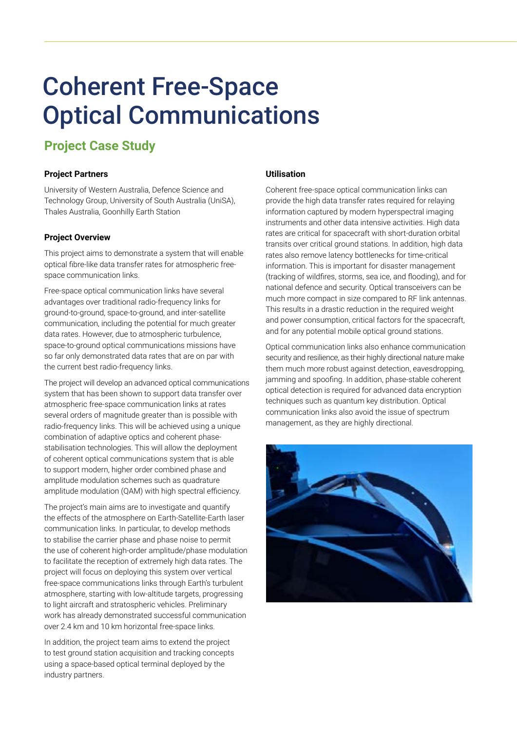# Coherent Free-Space Optical Communications

## **Project Case Study**

### **Project Partners**

University of Western Australia, Defence Science and Technology Group, University of South Australia (UniSA), Thales Australia, Goonhilly Earth Station

#### **Project Overview**

This project aims to demonstrate a system that will enable optical fibre-like data transfer rates for atmospheric freespace communication links.

Free-space optical communication links have several advantages over traditional radio-frequency links for ground-to-ground, space-to-ground, and inter-satellite communication, including the potential for much greater data rates. However, due to atmospheric turbulence, space-to-ground optical communications missions have so far only demonstrated data rates that are on par with the current best radio-frequency links.

The project will develop an advanced optical communications system that has been shown to support data transfer over atmospheric free-space communication links at rates several orders of magnitude greater than is possible with radio-frequency links. This will be achieved using a unique combination of adaptive optics and coherent phasestabilisation technologies. This will allow the deployment of coherent optical communications system that is able to support modern, higher order combined phase and amplitude modulation schemes such as quadrature amplitude modulation (QAM) with high spectral efficiency.

The project's main aims are to investigate and quantify the effects of the atmosphere on Earth-Satellite-Earth laser communication links. In particular, to develop methods to stabilise the carrier phase and phase noise to permit the use of coherent high-order amplitude/phase modulation to facilitate the reception of extremely high data rates. The project will focus on deploying this system over vertical free-space communications links through Earth's turbulent atmosphere, starting with low-altitude targets, progressing to light aircraft and stratospheric vehicles. Preliminary work has already demonstrated successful communication over 2.4 km and 10 km horizontal free-space links.

In addition, the project team aims to extend the project to test ground station acquisition and tracking concepts using a space-based optical terminal deployed by the industry partners.

#### **Utilisation**

Coherent free-space optical communication links can provide the high data transfer rates required for relaying information captured by modern hyperspectral imaging instruments and other data intensive activities. High data rates are critical for spacecraft with short-duration orbital transits over critical ground stations. In addition, high data rates also remove latency bottlenecks for time-critical information. This is important for disaster management (tracking of wildfires, storms, sea ice, and flooding), and for national defence and security. Optical transceivers can be much more compact in size compared to RF link antennas. This results in a drastic reduction in the required weight and power consumption, critical factors for the spacecraft, and for any potential mobile optical ground stations.

Optical communication links also enhance communication security and resilience, as their highly directional nature make them much more robust against detection, eavesdropping, jamming and spoofing. In addition, phase-stable coherent optical detection is required for advanced data encryption techniques such as quantum key distribution. Optical communication links also avoid the issue of spectrum management, as they are highly directional.